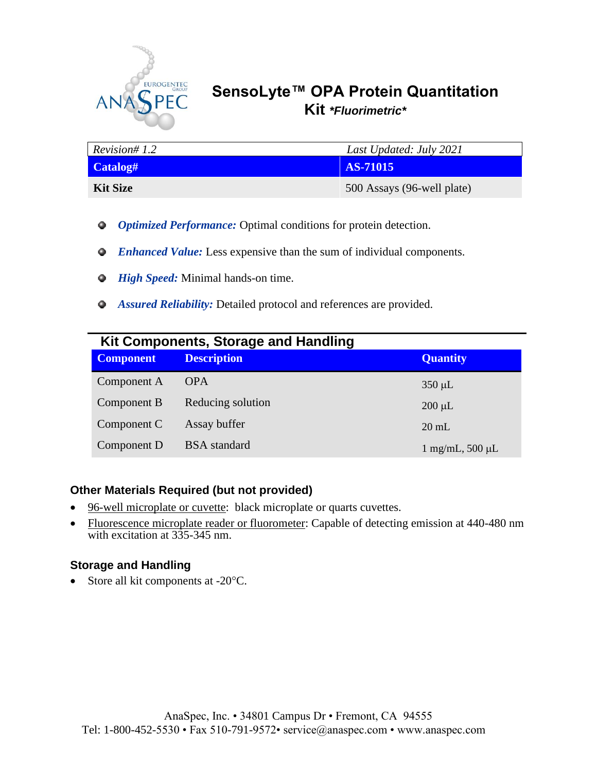

# **SensoLyte™ OPA Protein Quantitation Kit** *\*Fluorimetric\**

| Revision# 1.2   | Last Updated: July 2021    |
|-----------------|----------------------------|
| Catalog#        | <b>AS-71015</b>            |
| <b>Kit Size</b> | 500 Assays (96-well plate) |

- *Optimized Performance:* Optimal conditions for protein detection.
- *Enhanced Value:* Less expensive than the sum of individual components.
- *Q* High Speed: Minimal hands-on time.
- *Assured Reliability:* Detailed protocol and references are provided.

|                  | Kit Components, Storage and Handling |                            |  |
|------------------|--------------------------------------|----------------------------|--|
| <b>Component</b> | <b>Description</b>                   | <b>Quantity</b>            |  |
| Component A      | <b>OPA</b>                           | $350 \mu L$                |  |
| Component B      | Reducing solution                    | $200 \mu L$                |  |
| Component C      | Assay buffer                         | $20 \text{ mL}$            |  |
| Component D      | <b>BSA</b> standard                  | $1 \text{ mg/mL}$ , 500 µL |  |

### **Other Materials Required (but not provided)**

- 96-well microplate or cuvette: black microplate or quarts cuvettes.
- Fluorescence microplate reader or fluorometer: Capable of detecting emission at 440-480 nm with excitation at 335-345 nm.

### **Storage and Handling**

• Store all kit components at  $-20^{\circ}$ C.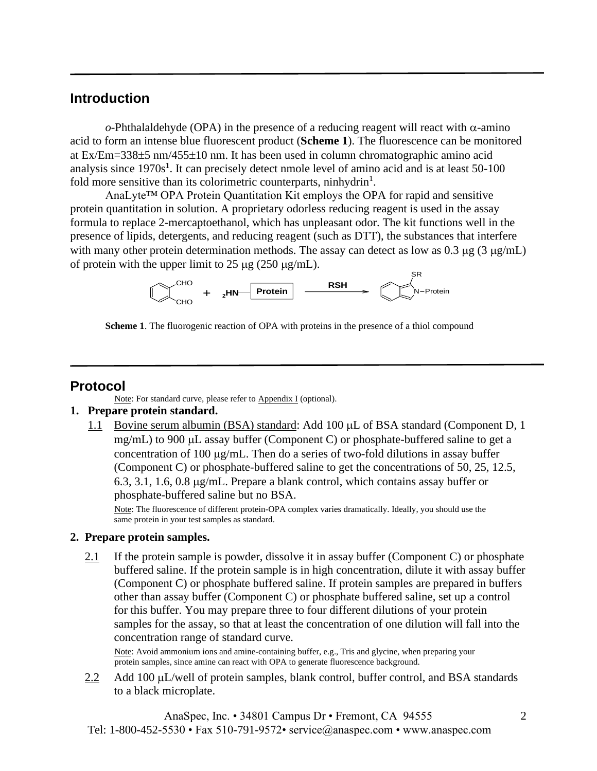## **Introduction**

 $o$ -Phthalaldehyde (OPA) in the presence of a reducing reagent will react with  $\alpha$ -amino acid to form an intense blue fluorescent product (**Scheme 1**). The fluorescence can be monitored at Ex/Em=338 $\pm$ 5 nm/455 $\pm$ 10 nm. It has been used in column chromatographic amino acid analysis since 1970s**<sup>1</sup>** . It can precisely detect nmole level of amino acid and is at least 50-100 fold more sensitive than its colorimetric counterparts, ninhydrin<sup>1</sup>.

AnaLyte™ OPA Protein Quantitation Kit employs the OPA for rapid and sensitive protein quantitation in solution. A proprietary odorless reducing reagent is used in the assay formula to replace 2-mercaptoethanol, which has unpleasant odor. The kit functions well in the presence of lipids, detergents, and reducing reagent (such as DTT), the substances that interfere with many other protein determination methods. The assay can detect as low as 0.3  $\mu$ g (3  $\mu$ g/mL) of protein with the upper limit to  $25 \mu$ g ( $250 \mu$ g/mL).



**Scheme 1**. The fluorogenic reaction of OPA with proteins in the presence of a thiol compound

## **Protocol**

Ι

Note: For standard curve, please refer to Appendix I (optional).

#### **1. Prepare protein standard.**

1.1 Bovine serum albumin (BSA) standard: Add 100  $\mu$ L of BSA standard (Component D, 1 mg/mL) to 900  $\mu$ L assay buffer (Component C) or phosphate-buffered saline to get a concentration of 100  $\mu$ g/mL. Then do a series of two-fold dilutions in assay buffer (Component C) or phosphate-buffered saline to get the concentrations of 50, 25, 12.5, 6.3, 3.1, 1.6, 0.8 g/mL. Prepare a blank control, which contains assay buffer or phosphate-buffered saline but no BSA.

Note: The fluorescence of different protein-OPA complex varies dramatically. Ideally, you should use the same protein in your test samples as standard.

#### **2. Prepare protein samples.**

2.1 If the protein sample is powder, dissolve it in assay buffer (Component C) or phosphate buffered saline. If the protein sample is in high concentration, dilute it with assay buffer (Component C) or phosphate buffered saline. If protein samples are prepared in buffers other than assay buffer (Component C) or phosphate buffered saline, set up a control for this buffer. You may prepare three to four different dilutions of your protein samples for the assay, so that at least the concentration of one dilution will fall into the concentration range of standard curve.

Note: Avoid ammonium ions and amine-containing buffer, e.g., Tris and glycine, when preparing your protein samples, since amine can react with OPA to generate fluorescence background.

2.2 Add 100 µL/well of protein samples, blank control, buffer control, and BSA standards to a black microplate.

AnaSpec, Inc. • 34801 Campus Dr • Fremont, CA 94555 Tel: 1-800-452-5530 • Fax 510-791-9572• service@anaspec.com • www.anaspec.com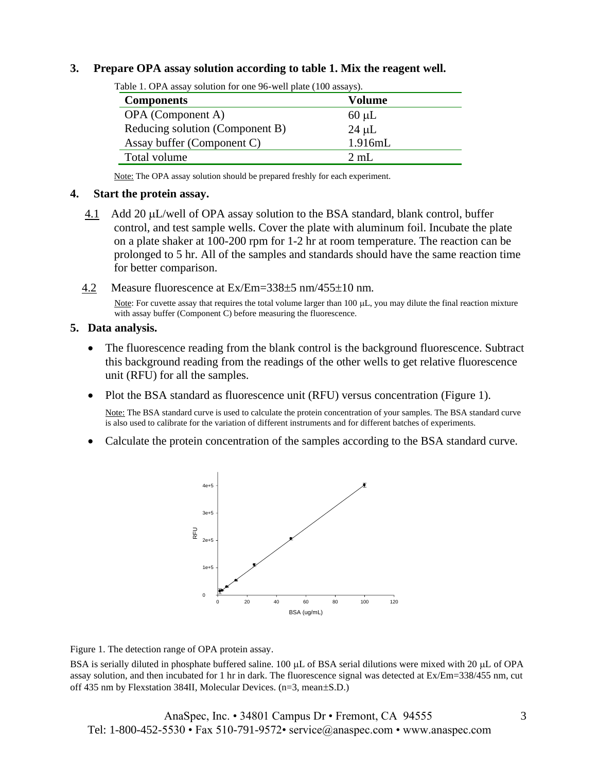#### **3. Prepare OPA assay solution according to table 1. Mix the reagent well.**

| <b>Components</b>               | <b>Volume</b>  |
|---------------------------------|----------------|
| OPA (Component A)               | $60 \mu L$     |
| Reducing solution (Component B) | $24 \mu L$     |
| Assay buffer (Component C)      | 1.916mL        |
| Total volume                    | $2 \text{ mL}$ |

Table 1. OPA assay solution for one 96-well plate (100 assays).

Note: The OPA assay solution should be prepared freshly for each experiment.

#### **4. Start the protein assay.**

- 4.1 Add 20  $\mu$ L/well of OPA assay solution to the BSA standard, blank control, buffer control, and test sample wells. Cover the plate with aluminum foil. Incubate the plate on a plate shaker at 100-200 rpm for 1-2 hr at room temperature. The reaction can be prolonged to 5 hr. All of the samples and standards should have the same reaction time for better comparison.
- 4.2 Measure fluorescence at Ex/Em=338 $\pm$ 5 nm/455 $\pm$ 10 nm.

Note: For cuvette assay that requires the total volume larger than 100 µL, you may dilute the final reaction mixture with assay buffer (Component C) before measuring the fluorescence.

#### **5. Data analysis.**

- The fluorescence reading from the blank control is the background fluorescence. Subtract this background reading from the readings of the other wells to get relative fluorescence unit (RFU) for all the samples.
- Plot the BSA standard as fluorescence unit (RFU) versus concentration (Figure 1).

Note: The BSA standard curve is used to calculate the protein concentration of your samples. The BSA standard curve is also used to calibrate for the variation of different instruments and for different batches of experiments.

• Calculate the protein concentration of the samples according to the BSA standard curve.



Figure 1. The detection range of OPA protein assay.

BSA is serially diluted in phosphate buffered saline. 100 µL of BSA serial dilutions were mixed with 20 µL of OPA assay solution, and then incubated for 1 hr in dark. The fluorescence signal was detected at Ex/Em=338/455 nm, cut off 435 nm by Flexstation 384II, Molecular Devices. (n=3, mean±S.D.)

AnaSpec, Inc. • 34801 Campus Dr • Fremont, CA 94555 Tel: 1-800-452-5530 • Fax 510-791-9572• service@anaspec.com • www.anaspec.com